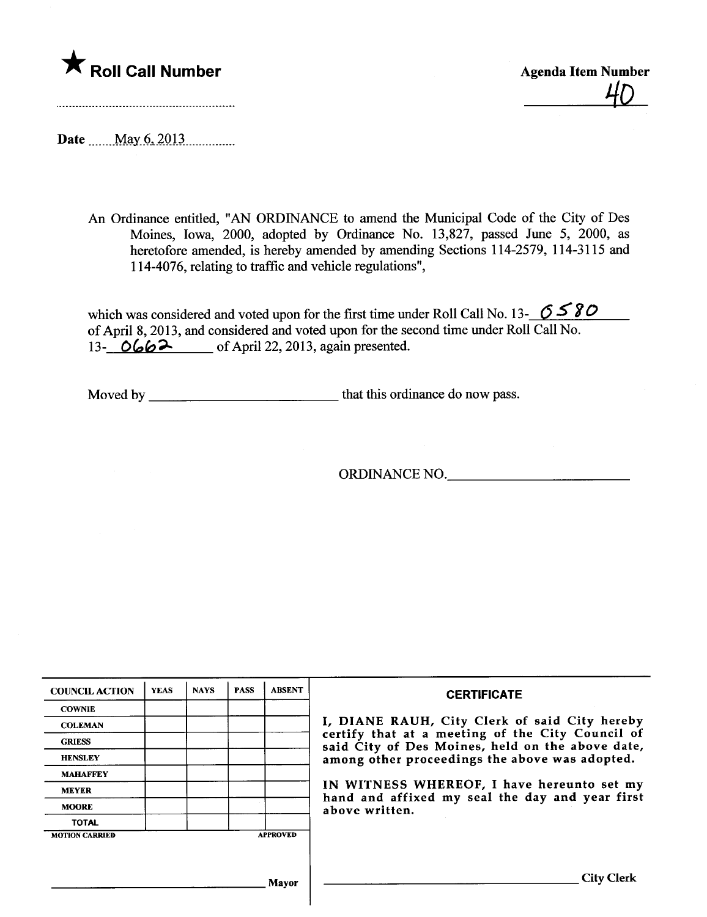

 $\star$  Roll Call Number Agenda Item Number Agenda Item Number  $\frac{40}{10}$ 

Date  $\frac{May\ 6,2013...}{My\ 6,2013...}$ 

An Ordinance entitled, "AN ORDINANCE to amend the Muncipal Code of the City of Des Moines, Iowa, 2000, adopted by Ordinance No. 13,827, passed June 5, 2000, as heretofore amended, is hereby amended by amending Sections 114-2579, 114-3115 and 114-4076, relating to traffic and vehicle regulations",

which was considered and voted upon for the first time under Roll Call No. 13-  $\sigma$  5'80' of April 8, 2013, and considered and voted upon for the second time under Roll Call No. 13- OGG2 of April 22, 2013, again presented.

Moved by that this ordinance do now pass.

ORDINANCE NO.

| <b>COUNCIL ACTION</b> | <b>YEAS</b> | <b>NAYS</b> | <b>PASS</b> | <b>ABSENT</b>   | <b>CERTIFICATE</b>                                                                                                                                                                                                                                                                                                         |
|-----------------------|-------------|-------------|-------------|-----------------|----------------------------------------------------------------------------------------------------------------------------------------------------------------------------------------------------------------------------------------------------------------------------------------------------------------------------|
| <b>COWNIE</b>         |             |             |             |                 | I, DIANE RAUH, City Clerk of said City hereby<br>certify that at a meeting of the City Council of<br>said City of Des Moines, held on the above date,<br>among other proceedings the above was adopted.<br>IN WITNESS WHEREOF, I have hereunto set my<br>hand and affixed my seal the day and year first<br>above written. |
| <b>COLEMAN</b>        |             |             |             |                 |                                                                                                                                                                                                                                                                                                                            |
| <b>GRIESS</b>         |             |             |             |                 |                                                                                                                                                                                                                                                                                                                            |
| <b>HENSLEY</b>        |             |             |             |                 |                                                                                                                                                                                                                                                                                                                            |
| <b>MAHAFFEY</b>       |             |             |             |                 |                                                                                                                                                                                                                                                                                                                            |
| <b>MEYER</b>          |             |             |             |                 |                                                                                                                                                                                                                                                                                                                            |
| <b>MOORE</b>          |             |             |             |                 |                                                                                                                                                                                                                                                                                                                            |
| <b>TOTAL</b>          |             |             |             |                 |                                                                                                                                                                                                                                                                                                                            |
| <b>MOTION CARRIED</b> |             |             |             | <b>APPROVED</b> |                                                                                                                                                                                                                                                                                                                            |
|                       |             |             |             |                 |                                                                                                                                                                                                                                                                                                                            |
| Mayor                 |             |             |             |                 | City                                                                                                                                                                                                                                                                                                                       |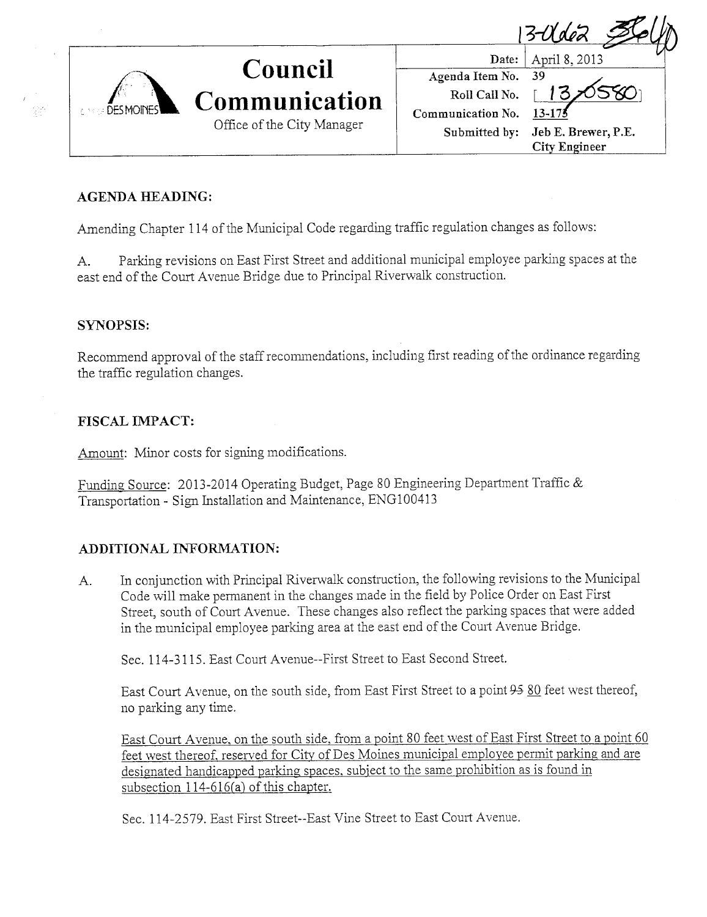Date: April 8,2013  $13-0$ déa



# Council **Communication** Office of the City Manager

Agenda Item No. Roll Call No. Communication No. Submitted by: 39

 $13/0580$ 13-175 Jeb E. Brewer, P.E.

City Engineer

## AGENDA HEADING:

Amending Chapter 114 of the Municipal Code regarding traffic regulation changes as follows:

A. Parking revisions on East First Street and additional municipal employee parking spaces at the east end of the Court Avenue Bridge due to Principal Riverwalk construction.

## SYNOPSIS:

Recommend approval of the staff recommendations, including first reading of the ordinance regarding the traffic regulation changes.

# FISCAL IMPACT:

Amount: Minor costs for signing modifications.

Funding Source: 2013-2014 Operating Budget, Page 80 Engineering Department Traffic & Transportation - Sign Installation and Maintenance, ENG100413

# ADDITIONAL INFORMATION:

A. In conjunction with Principal Riverwalk construction, the following revisions to the Municipal Code will make permanent in the changes made in the field by Police Order on East First Street, south of Court Avenue. These changes also reflect the parking spaces that were added in the municipal employee parking area at the east end of the Court Avenue Bridge.

Sec. 114-3115, East Court Avenue--First Street to East Second Street.

East Court Avenue, on the south side, from East First Street to a point 95 80 feet west thereof, no parking any time.

East Court Avenue, on the south side, from a point 80 feet west of East First Street to a point 60 feet west thereof. reserved for City of Des Moines municipal employee permit parking and are designated handicapped parking spaces. subiect to the same prohibition as is found in subsection  $114-616(a)$  of this chapter.

Sec. 114-2579. East First Street--East Vine Street to East Court Avenue.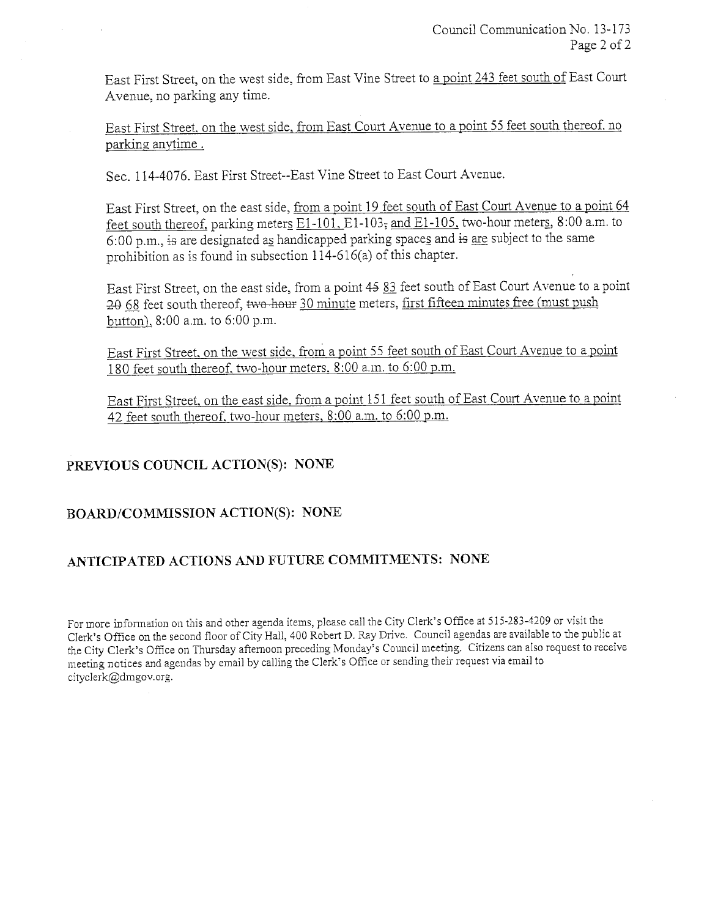East First Street, on the west side, from East Vine Street to a point 243 feet south of East Cour Avenue, no parking any time.

East First Street. on the west side. from East Court Avenue to a point 55 feet south thereof. no parking anytime.

Sec. 114-4076, East First Street--East Vine Street to East Court Avenue.

East First Street, on the east side, from a point 19 feet south of East Cour Avenue to a point 64 feet south thereof. parking meters  $E1-101$ ,  $E1-103$ , and  $E1-105$ , two-hour meters, 8:00 a.m. to 6:00 p.m., is are designated as handicapped parking space§. and is are subject to the same prohibition as is found in subsection 1 14-616(a) of this chapter.

East First Street, on the east side, from a point 45 83 feet south of East Court Avenue to a point 20 68 feet south thereof, two hour 30 minute meters, first fifteen minutes free (must push button), 8:00 a.m. to 6:00 p.m.

East First Street, on the west side, from a point 55 feet south of East Court Avenue to a point 180 feet south thereof. two-hour meters. 8:00 a.m. to 6:00 p.m.

East First Street, on the east side, from a point 151 feet south of East Court Avenue to a point 42 feet south thereof, two-hour meters, 8:00 a.m. to 6:00 p.m.

## PREVIOUS COUNCIL ACTION(S): NONE

### BOARD/COMMISSION ACTION(S): NONE

### ANTICIPATED ACTIONS AND FUTURE COMMITMENTS: NONE

For more information on this and other agenda items, please call the City Clerk's Office at 515-283-4209 or visit the Clerk's Office on the second floor of City Hall, 400 Robert D. Ray Drive. Council agendas are available to the public at the City Clerk's Office on Thursday afternoon preceding Monday's Council meeting. Citizens can also request to receive meeting notices and agendas by email by calling the Clerk's Office or sending their request via email to cityclerk@dmgov.org.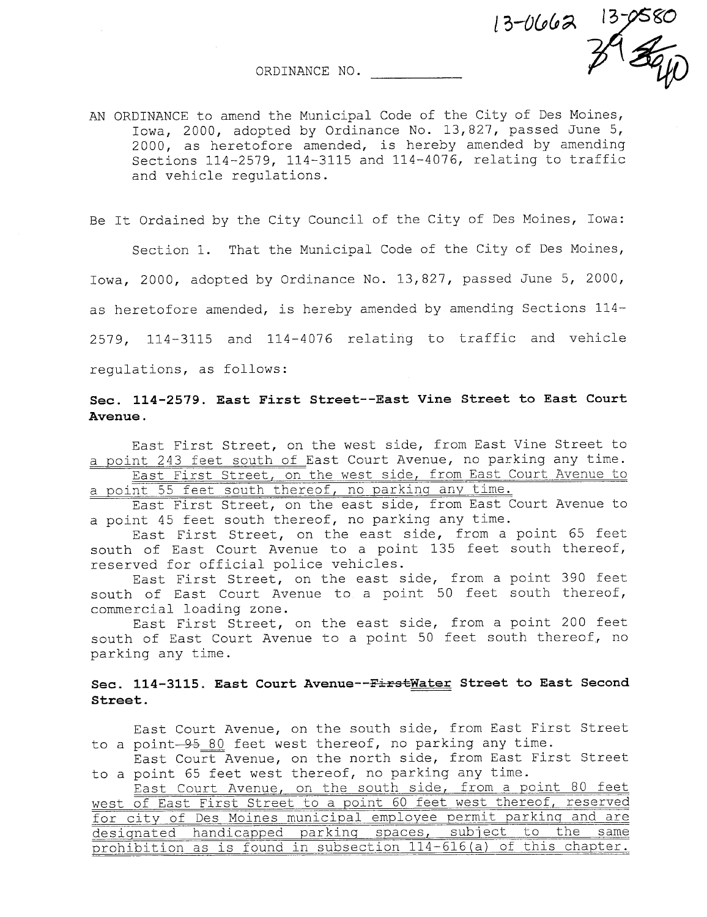ORDINANCE NO.

AN ORDINANCE to amend the Municipal Code of the City of Des Moines, Iowa, 2000, adopted by Ordinance No. 13,827, passed June 5, 2000, as heretofore amended, is hereby amended by amending Sections 114-2579, 114-3115 and 114-4076, relating to traffic and vehicle regulations.

 $13 - 0662$   $13 - 0580$ 

Be It Ordained by the City Council of the City of Des Moines, Iowa:

Section 1. That the Municipal Code of the City of Des Moines, Iowa, 2000, adopted by Ordinance No. 13,827, passed June 5, 2000, as heretofore amended, is hereby amended by amending Sections 114- 2579, 114-3115 and 114-4076 relating to traffic and vehicle regulations, as follows:

### Sec. 114-2579. East First Street--East Vine Street to East Court Avenue.

East First Street, on the west side, from East Vine Street to a point 243 feet south of East Court Avenue, no parking any time. East First Street, on the west side, from East Court Avenue to

a point 55 feet south thereof, no parkinq any time.

East First Street, on the east side, from East Court Avenue to a point 45 feet south thereof, no parking any time.

East First Street, on the east side, from a point 65 feet south of East Court Avenue to a point 135 feet south thereof, reserved for official police vehicles.

East First Street, on the east side, from a point 390 feet south of East Court Avenue to a point 50 feet south thereof, commercial loading zone.

East First Street, on the east side, from a point 200 feet south of East Court Avenue to a point 50 feet south thereof, no parking any time.

#### Sec. 114-3115. East Court Avenue--FirstWater Street to East Second Street.

East Court Avenue, on the south side, from East First Street to a point -95 80 feet west thereof, no parking any time.

East Court Avenue, on the north side, from East First Street to a point 65 feet west thereof, no parking any time.

East Court Avenue, on the south side, from a point 80 feet west of East First Street to a point 60 feet west thereof, reserved for city of Des Moines municipal employee permit parking and are<br>designated handicapped parking spaces, subject to the same designated handicapped parking spaces, subject prohibition as is found in subsection 114-616 (a) of this chapter.